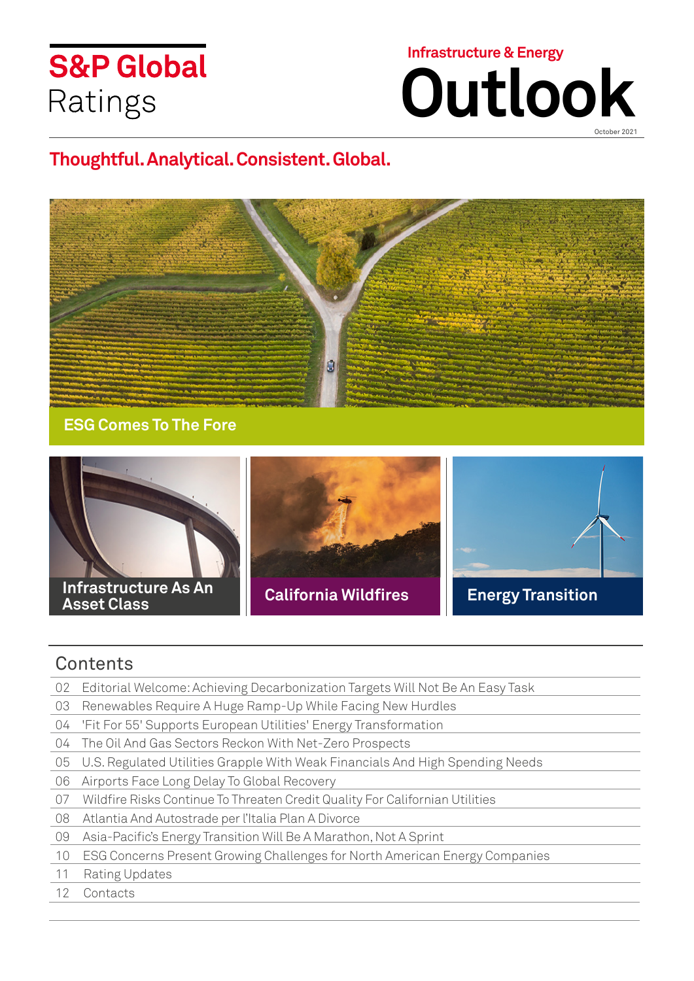# **S&P Global** Ratings



October 2021

# **Thoughtful. Analytical. Consistent. Global.**



**[ESG Comes To The Fore](#page-1-0)**



### **C[o](#page-2-0)ntents**

- 02 [Editorial Welcome: Achieving Decarbonization Targets Will Not Be An Easy Task](#page-1-0)
- 03 [Renewables Require A Huge Ramp-Up While Facing New Hurdles](#page-2-0)
- 04 ['Fit For 55' Supports European Utilities' Energy Transformation](#page-3-0)
- 04 [The Oil And Gas Sectors Reckon With Net-Zero Prospects](#page-3-0)
- 05 [U.S. Regulated Utilities Grapple With Weak Financials And High Spending Nee](#page-4-0)ds
- 06 [Airports Face Long Delay To Global Recovery](#page-5-0)
- [07 Wildfire Risks Continue To Threaten Credit Quality For Californian Utilities](#page-6-0)
- [08 Atlantia And Autostrade per l'Italia Plan A Divorce](#page-7-0)
- [09 Asia-Pacific's Energy Transition Will Be A Marathon, Not A Sprint](#page-8-0)
- [10 ESG Concerns Present Growing Challenges for North American Energy Companies](#page-9-0)
- [11 Rating Updates](#page-10-0)
- [12 Contacts](#page-11-0)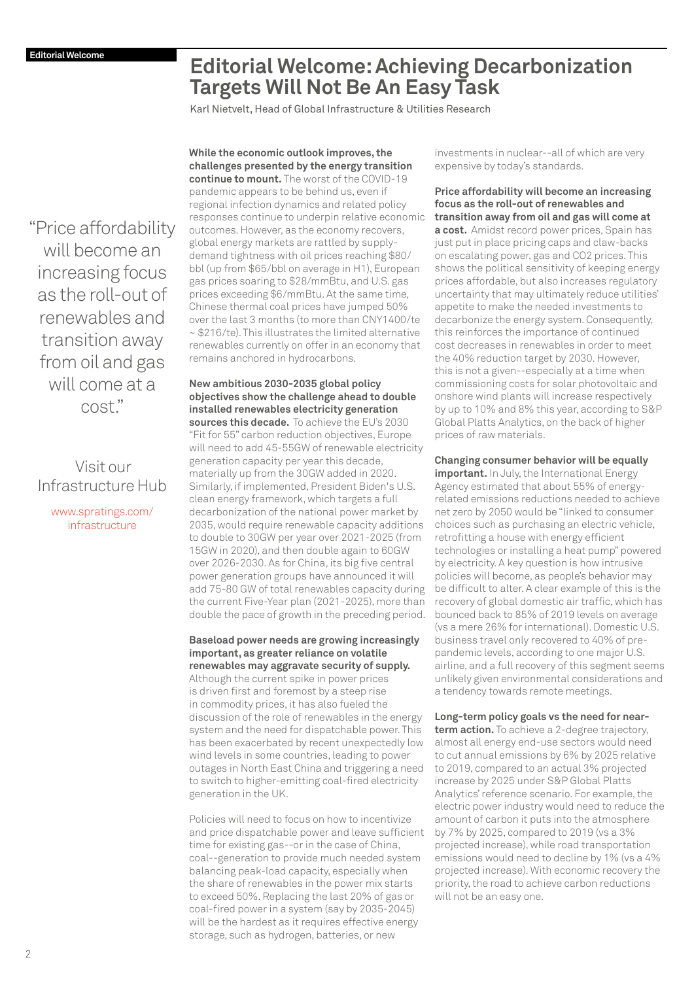# <span id="page-1-0"></span>**Editorial Welcome: Achieving Decarbonization Targets Will Not Be An Easy Task**

Karl Nietvelt, Head of Global Infrastructure & Utilities Research

["Price affordability](http://www.spratings.com/en_US/infrastructure
)  will become an increasing focus as the roll-out of renewables and transition away from oil and gas will come at a cost."

### Visit our Infrastructure Hub

www.spratings.com/ infrastructure

**challenges presented by the energy transition continue to mount.** The worst of the COVID-19 pandemic appears to be behind us, even if regional infection dynamics and related policy responses continue to underpin relative economic outcomes. However, as the economy recovers, global energy markets are rattled by supplydemand tightness with oil prices reaching \$80/ bbl (up from \$65/bbl on average in H1), European gas prices soaring to \$28/mmBtu, and U.S. gas prices exceeding \$6/mmBtu. At the same time, Chinese thermal coal prices have jumped 50% over the last 3 months (to more than CNY1400/te ~ \$216/te). This illustrates the limited alternative renewables currently on offer in an economy that remains anchored in hydrocarbons.

**While the economic outlook improves, the** 

**New ambitious 2030-2035 global policy objectives show the challenge ahead to double installed renewables electricity generation sources this decade.** To achieve the EU's 2030 "Fit for 55" carbon reduction objectives, Europe will need to add 45-55GW of renewable electricity generation capacity per year this decade, materially up from the 30GW added in 2020. Similarly, if implemented, President Biden's U.S. clean energy framework, which targets a full decarbonization of the national power market by 2035, would require renewable capacity additions to double to 30GW per year over 2021-2025 (from 15GW in 2020), and then double again to 60GW over 2026-2030. As for China, its big five central power generation groups have announced it will add 75-80 GW of total renewables capacity during the current Five-Year plan (2021-2025), more than double the pace of growth in the preceding period.

### **Baseload power needs are growing increasingly important, as greater reliance on volatile renewables may aggravate security of supply.**

Although the current spike in power prices is driven first and foremost by a steep rise in commodity prices, it has also fueled the discussion of the role of renewables in the energy system and the need for dispatchable power. This has been exacerbated by recent unexpectedly low wind levels in some countries, leading to power outages in North East China and triggering a need to switch to higher-emitting coal-fired electricity generation in the UK.

Policies will need to focus on how to incentivize and price dispatchable power and leave sufficient time for existing gas--or in the case of China, coal--generation to provide much needed system balancing peak-load capacity, especially when the share of renewables in the power mix starts to exceed 50%. Replacing the last 20% of gas or coal-fired power in a system (say by 2035-2045) will be the hardest as it requires effective energy storage, such as hydrogen, batteries, or new

investments in nuclear--all of which are very expensive by today's standards.

**Price affordability will become an increasing focus as the roll-out of renewables and transition away from oil and gas will come at a cost.** Amidst record power prices, Spain has just put in place pricing caps and claw-backs on escalating power, gas and CO2 prices. This shows the political sensitivity of keeping energy prices affordable, but also increases regulatory uncertainty that may ultimately reduce utilities' appetite to make the needed investments to decarbonize the energy system. Consequently, this reinforces the importance of continued cost decreases in renewables in order to meet the 40% reduction target by 2030. However, this is not a given--especially at a time when commissioning costs for solar photovoltaic and onshore wind plants will increase respectively by up to 10% and 8% this year, according to S&P Global Platts Analytics, on the back of higher prices of raw materials.

**Changing consumer behavior will be equally** 

**important.** In July, the International Energy Agency estimated that about 55% of energyrelated emissions reductions needed to achieve net zero by 2050 would be "linked to consumer choices such as purchasing an electric vehicle, retrofitting a house with energy efficient technologies or installing a heat pump" powered by electricity. A key question is how intrusive policies will become, as people's behavior may be difficult to alter. A clear example of this is the recovery of global domestic air traffic, which has bounced back to 85% of 2019 levels on average (vs a mere 26% for international). Domestic U.S. business travel only recovered to 40% of prepandemic levels, according to one major U.S. airline, and a full recovery of this segment seems unlikely given environmental considerations and a tendency towards remote meetings.

### **Long-term policy goals vs the need for near-**

**term action.** To achieve a 2-degree trajectory, almost all energy end-use sectors would need to cut annual emissions by 6% by 2025 relative to 2019, compared to an actual 3% projected increase by 2025 under S&P Global Platts Analytics' reference scenario. For example, the electric power industry would need to reduce the amount of carbon it puts into the atmosphere by 7% by 2025, compared to 2019 (vs a 3% projected increase), while road transportation emissions would need to decline by 1% (vs a 4% projected increase). With economic recovery the priority, the road to achieve carbon reductions will not be an easy one.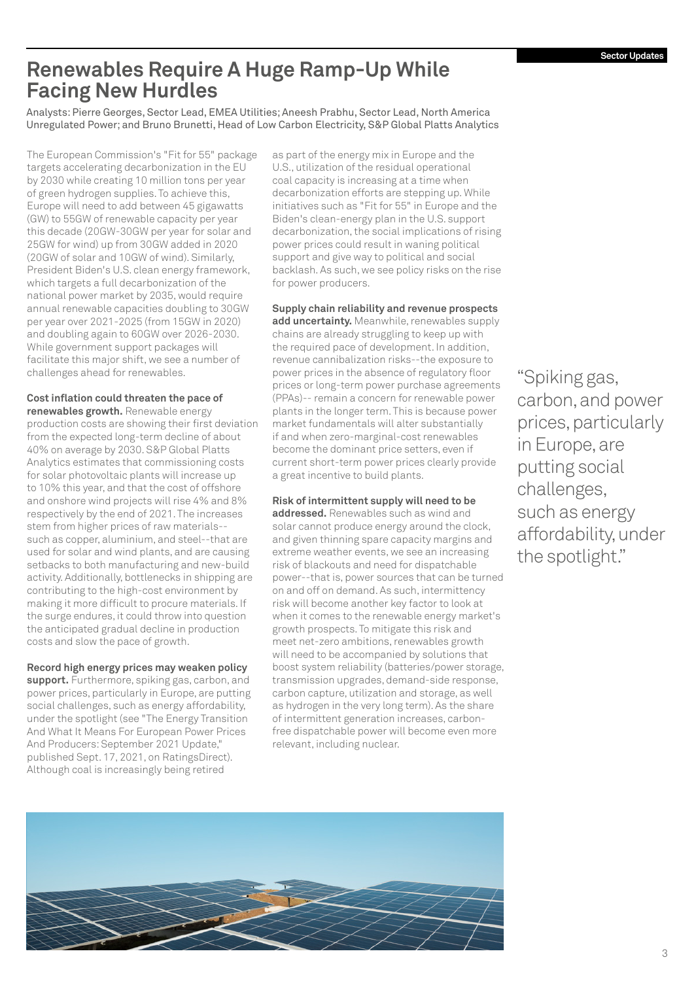## <span id="page-2-0"></span>**Renewables Require A Huge Ramp-Up While Facing New Hurdles**

Analysts: Pierre Georges, Sector Lead, EMEA Utilities; Aneesh Prabhu, Sector Lead, North America Unregulated Power; and Bruno Brunetti, Head of Low Carbon Electricity, S&P Global Platts Analytics

The European Commission's "Fit for 55" package targets accelerating decarbonization in the EU by 2030 while creating 10 million tons per year of green hydrogen supplies. To achieve this, Europe will need to add between 45 gigawatts (GW) to 55GW of renewable capacity per year this decade (20GW-30GW per year for solar and 25GW for wind) up from 30GW added in 2020 (20GW of solar and 10GW of wind). Similarly, President Biden's U.S. clean energy framework, which targets a full decarbonization of the national power market by 2035, would require annual renewable capacities doubling to 30GW per year over 2021-2025 (from 15GW in 2020) and doubling again to 60GW over 2026-2030. While government support packages will facilitate this major shift, we see a number of challenges ahead for renewables.

### **Cost inflation could threaten the pace of**

**renewables growth.** Renewable energy production costs are showing their first deviation from the expected long-term decline of about 40% on average by 2030. S&P Global Platts Analytics estimates that commissioning costs for solar photovoltaic plants will increase up to 10% this year, and that the cost of offshore and onshore wind projects will rise 4% and 8% respectively by the end of 2021. The increases stem from higher prices of raw materials- such as copper, aluminium, and steel--that are used for solar and wind plants, and are causing setbacks to both manufacturing and new-build activity. Additionally, bottlenecks in shipping are contributing to the high-cost environment by making it more difficult to procure materials. If the surge endures, it could throw into question the anticipated gradual decline in production costs and slow the pace of growth.

### **Record high energy prices may weaken policy**

**support.** Furthermore, spiking gas, carbon, and power prices, particularly in Europe, are putting social challenges, such as energy affordability, under the spotlight (see "The Energy Transition And What It Means For European Power Prices And Producers: September 2021 Update," published Sept. 17, 2021, on RatingsDirect). Although coal is increasingly being retired

as part of the energy mix in Europe and the U.S., utilization of the residual operational coal capacity is increasing at a time when decarbonization efforts are stepping up. While initiatives such as "Fit for 55" in Europe and the Biden's clean-energy plan in the U.S. support decarbonization, the social implications of rising power prices could result in waning political support and give way to political and social backlash. As such, we see policy risks on the rise for power producers.

### **Supply chain reliability and revenue prospects**

**add uncertainty.** Meanwhile, renewables supply chains are already struggling to keep up with the required pace of development. In addition, revenue cannibalization risks--the exposure to power prices in the absence of regulatory floor prices or long-term power purchase agreements (PPAs)-- remain a concern for renewable power plants in the longer term. This is because power market fundamentals will alter substantially if and when zero-marginal-cost renewables become the dominant price setters, even if current short-term power prices clearly provide a great incentive to build plants.

### **Risk of intermittent supply will need to be**

**addressed.** Renewables such as wind and solar cannot produce energy around the clock, and given thinning spare capacity margins and extreme weather events, we see an increasing risk of blackouts and need for dispatchable power--that is, power sources that can be turned on and off on demand. As such, intermittency risk will become another key factor to look at when it comes to the renewable energy market's growth prospects. To mitigate this risk and meet net-zero ambitions, renewables growth will need to be accompanied by solutions that boost system reliability (batteries/power storage, transmission upgrades, demand-side response, carbon capture, utilization and storage, as well as hydrogen in the very long term). As the share of intermittent generation increases, carbonfree dispatchable power will become even more relevant, including nuclear.

"Spiking gas, carbon, and power prices, particularly in Europe, are putting social challenges, such as energy affordability, under the spotlight."

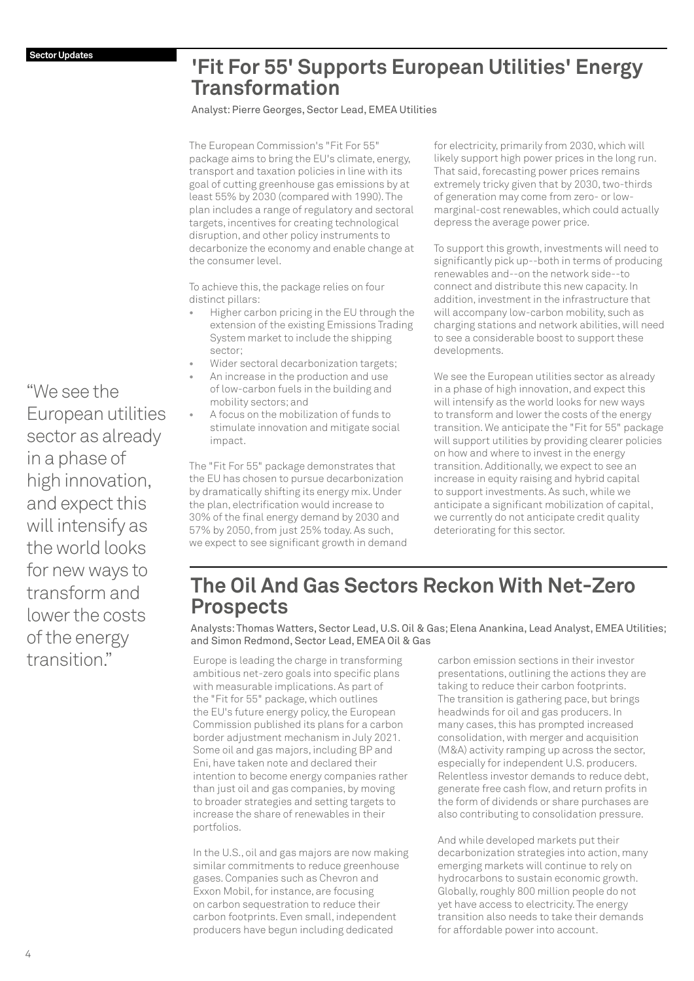### <span id="page-3-0"></span>**'Fit For 55' Supports European Utilities' Energy Transformation**

Analyst: Pierre Georges, Sector Lead, EMEA Utilities

The European Commission's "Fit For 55" package aims to bring the EU's climate, energy, transport and taxation policies in line with its goal of cutting greenhouse gas emissions by at least 55% by 2030 (compared with 1990). The plan includes a range of regulatory and sectoral targets, incentives for creating technological disruption, and other policy instruments to decarbonize the economy and enable change at the consumer level.

To achieve this, the package relies on four distinct pillars:

- **•** Higher carbon pricing in the EU through the extension of the existing Emissions Trading System market to include the shipping sector;
- **•** Wider sectoral decarbonization targets;
- **•** An increase in the production and use of low-carbon fuels in the building and mobility sectors; and
- **•** A focus on the mobilization of funds to stimulate innovation and mitigate social impact.

The "Fit For 55" package demonstrates that the EU has chosen to pursue decarbonization by dramatically shifting its energy mix. Under the plan, electrification would increase to 30% of the final energy demand by 2030 and 57% by 2050, from just 25% today. As such, we expect to see significant growth in demand

for electricity, primarily from 2030, which will likely support high power prices in the long run. That said, forecasting power prices remains extremely tricky given that by 2030, two-thirds of generation may come from zero- or lowmarginal-cost renewables, which could actually depress the average power price.

To support this growth, investments will need to significantly pick up--both in terms of producing renewables and--on the network side--to connect and distribute this new capacity. In addition, investment in the infrastructure that will accompany low-carbon mobility, such as charging stations and network abilities, will need to see a considerable boost to support these developments.

We see the European utilities sector as already in a phase of high innovation, and expect this will intensify as the world looks for new ways to transform and lower the costs of the energy transition. We anticipate the "Fit for 55" package will support utilities by providing clearer policies on how and where to invest in the energy transition. Additionally, we expect to see an increase in equity raising and hybrid capital to support investments. As such, while we anticipate a significant mobilization of capital, we currently do not anticipate credit quality deteriorating for this sector.

# **The Oil And Gas Sectors Reckon With Net-Zero Prospects**

Analysts: Thomas Watters, Sector Lead, U.S. Oil & Gas; Elena Anankina, Lead Analyst, EMEA Utilities; and Simon Redmond, Sector Lead, EMEA Oil & Gas

Europe is leading the charge in transforming ambitious net-zero goals into specific plans with measurable implications. As part of the "Fit for 55" package, which outlines the EU's future energy policy, the European Commission published its plans for a carbon border adjustment mechanism in July 2021. Some oil and gas majors, including BP and Eni, have taken note and declared their intention to become energy companies rather than just oil and gas companies, by moving to broader strategies and setting targets to increase the share of renewables in their portfolios.

In the U.S., oil and gas majors are now making similar commitments to reduce greenhouse gases. Companies such as Chevron and Exxon Mobil, for instance, are focusing on carbon sequestration to reduce their carbon footprints. Even small, independent producers have begun including dedicated

carbon emission sections in their investor presentations, outlining the actions they are taking to reduce their carbon footprints. The transition is gathering pace, but brings headwinds for oil and gas producers. In many cases, this has prompted increased consolidation, with merger and acquisition (M&A) activity ramping up across the sector, especially for independent U.S. producers. Relentless investor demands to reduce debt, generate free cash flow, and return profits in the form of dividends or share purchases are also contributing to consolidation pressure.

And while developed markets put their decarbonization strategies into action, many emerging markets will continue to rely on hydrocarbons to sustain economic growth. Globally, roughly 800 million people do not yet have access to electricity. The energy transition also needs to take their demands for affordable power into account.

"We see the European utilities sector as already in a phase of high innovation, and expect this will intensify as the world looks for new ways to transform and lower the costs of the energy transition."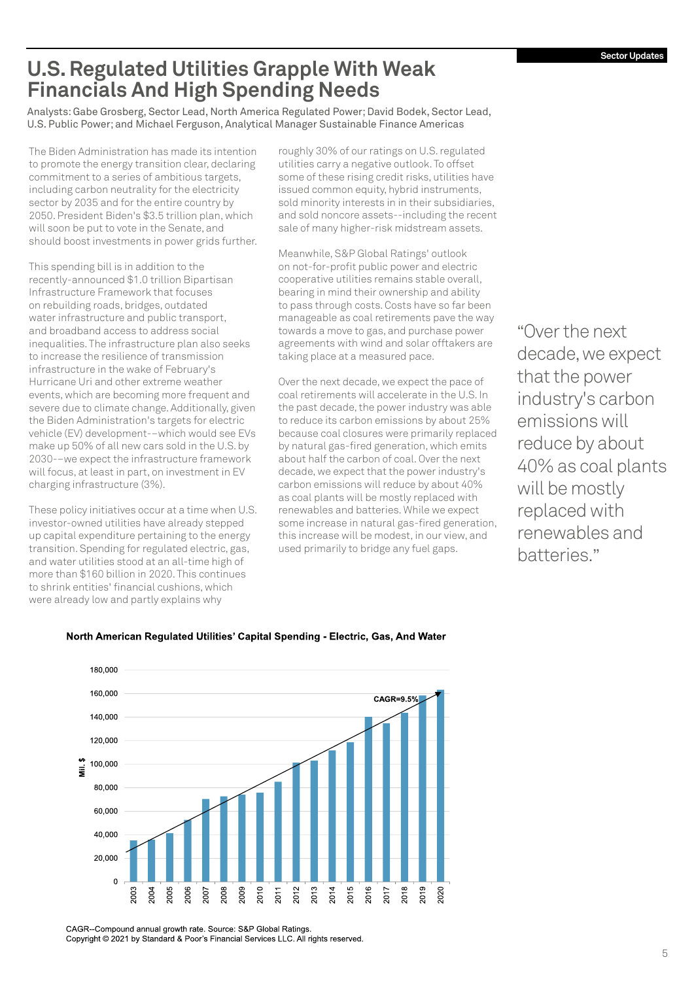# <span id="page-4-0"></span>**U.S. Regulated Utilities Grapple With Weak Financials And High Spending Needs**

Analysts: Gabe Grosberg, Sector Lead, North America Regulated Power; David Bodek, Sector Lead, U.S. Public Power; and Michael Ferguson, Analytical Manager Sustainable Finance Americas

The Biden Administration has made its intention to promote the energy transition clear, declaring commitment to a series of ambitious targets, including carbon neutrality for the electricity sector by 2035 and for the entire country by 2050. President Biden's \$3.5 trillion plan, which will soon be put to vote in the Senate, and should boost investments in power grids further.

This spending bill is in addition to the recently-announced \$1.0 trillion Bipartisan Infrastructure Framework that focuses on rebuilding roads, bridges, outdated water infrastructure and public transport, and broadband access to address social inequalities. The infrastructure plan also seeks to increase the resilience of transmission infrastructure in the wake of February's Hurricane Uri and other extreme weather events, which are becoming more frequent and severe due to climate change. Additionally, given the Biden Administration's targets for electric vehicle (EV) development-–which would see EVs make up 50% of all new cars sold in the U.S. by 2030-–we expect the infrastructure framework will focus, at least in part, on investment in EV charging infrastructure (3%).

These policy initiatives occur at a time when U.S. investor-owned utilities have already stepped up capital expenditure pertaining to the energy transition. Spending for regulated electric, gas, and water utilities stood at an all-time high of more than \$160 billion in 2020. This continues to shrink entities' financial cushions, which were already low and partly explains why

roughly 30% of our ratings on U.S. regulated utilities carry a negative outlook. To offset some of these rising credit risks, utilities have issued common equity, hybrid instruments, sold minority interests in in their subsidiaries, and sold noncore assets--including the recent sale of many higher-risk midstream assets.

Meanwhile, S&P Global Ratings' outlook on not-for-profit public power and electric cooperative utilities remains stable overall, bearing in mind their ownership and ability to pass through costs. Costs have so far been manageable as coal retirements pave the way towards a move to gas, and purchase power agreements with wind and solar offtakers are taking place at a measured pace.

Over the next decade, we expect the pace of coal retirements will accelerate in the U.S. In the past decade, the power industry was able to reduce its carbon emissions by about 25% because coal closures were primarily replaced by natural gas-fired generation, which emits about half the carbon of coal. Over the next decade, we expect that the power industry's carbon emissions will reduce by about 40% as coal plants will be mostly replaced with renewables and batteries. While we expect some increase in natural gas-fired generation, this increase will be modest, in our view, and used primarily to bridge any fuel gaps.

"Over the next decade, we expect that the power industry's carbon emissions will reduce by about 40% as coal plants will be mostly replaced with renewables and batteries."



### North American Regulated Utilities' Capital Spending - Electric, Gas, And Water

CAGR--Compound annual growth rate. Source: S&P Global Ratings. Copyright © 2021 by Standard & Poor's Financial Services LLC. All rights reserved.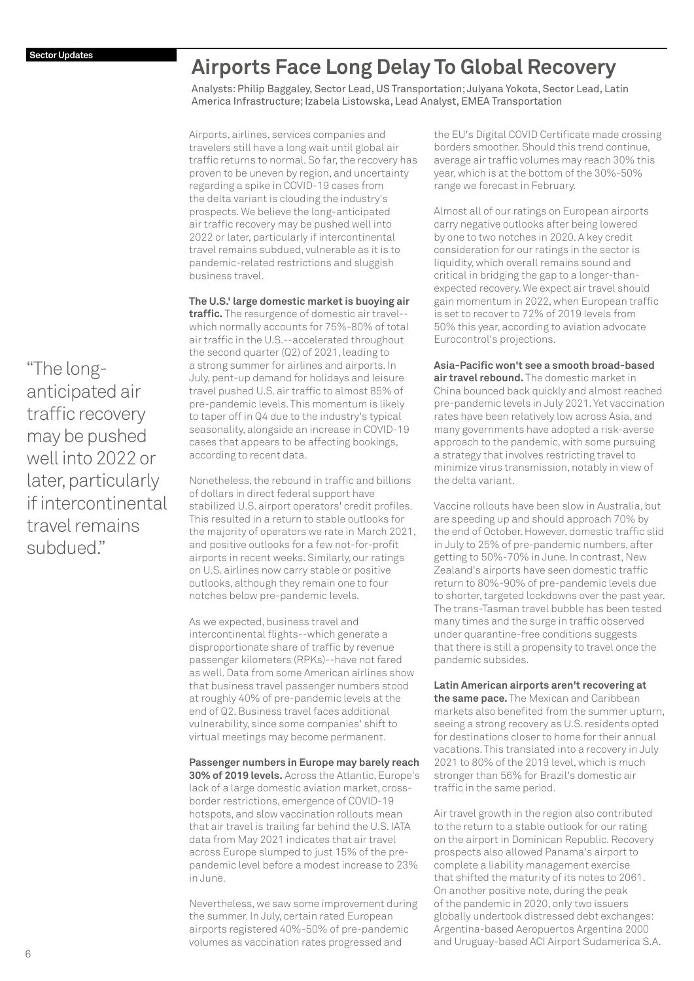# <span id="page-5-0"></span>**Airports Face Long Delay To Global Recovery**

Analysts: Philip Baggaley, Sector Lead, US Transportation; Julyana Yokota, Sector Lead, Latin America Infrastructure; Izabela Listowska, Lead Analyst, EMEA Transportation

Airports, airlines, services companies and travelers still have a long wait until global air traffic returns to normal. So far, the recovery has proven to be uneven by region, and uncertainty regarding a spike in COVID-19 cases from the delta variant is clouding the industry's prospects. We believe the long-anticipated air traffic recovery may be pushed well into 2022 or later, particularly if intercontinental travel remains subdued, vulnerable as it is to pandemic-related restrictions and sluggish business travel.

**The U.S.' large domestic market is buoying air traffic.** The resurgence of domestic air travel--

which normally accounts for 75%-80% of total air traffic in the U.S.--accelerated throughout the second quarter (Q2) of 2021, leading to a strong summer for airlines and airports. In July, pent-up demand for holidays and leisure travel pushed U.S. air traffic to almost 85% of pre-pandemic levels. This momentum is likely to taper off in Q4 due to the industry's typical seasonality, alongside an increase in COVID-19 cases that appears to be affecting bookings, according to recent data.

Nonetheless, the rebound in traffic and billions of dollars in direct federal support have stabilized U.S. airport operators' credit profiles. This resulted in a return to stable outlooks for the majority of operators we rate in March 2021, and positive outlooks for a few not-for-profit airports in recent weeks. Similarly, our ratings on U.S. airlines now carry stable or positive outlooks, although they remain one to four notches below pre-pandemic levels.

As we expected, business travel and intercontinental flights--which generate a disproportionate share of traffic by revenue passenger kilometers (RPKs)--have not fared as well. Data from some American airlines show that business travel passenger numbers stood at roughly 40% of pre-pandemic levels at the end of Q2. Business travel faces additional vulnerability, since some companies' shift to virtual meetings may become permanent.

**Passenger numbers in Europe may barely reach 30% of 2019 levels.** Across the Atlantic, Europe's lack of a large domestic aviation market, crossborder restrictions, emergence of COVID-19 hotspots, and slow vaccination rollouts mean that air travel is trailing far behind the U.S. IATA data from May 2021 indicates that air travel across Europe slumped to just 15% of the prepandemic level before a modest increase to 23% in June.

Nevertheless, we saw some improvement during the summer. In July, certain rated European airports registered 40%-50% of pre-pandemic volumes as vaccination rates progressed and

the EU's Digital COVID Certificate made crossing borders smoother. Should this trend continue, average air traffic volumes may reach 30% this year, which is at the bottom of the 30%-50% range we forecast in February.

Almost all of our ratings on European airports carry negative outlooks after being lowered by one to two notches in 2020. A key credit consideration for our ratings in the sector is liquidity, which overall remains sound and critical in bridging the gap to a longer-thanexpected recovery. We expect air travel should gain momentum in 2022, when European traffic is set to recover to 72% of 2019 levels from 50% this year, according to aviation advocate Eurocontrol's projections.

**Asia-Pacific won't see a smooth broad-based air travel rebound.** The domestic market in China bounced back quickly and almost reached pre-pandemic levels in July 2021. Yet vaccination rates have been relatively low across Asia, and many governments have adopted a risk-averse approach to the pandemic, with some pursuing a strategy that involves restricting travel to minimize virus transmission, notably in view of the delta variant.

Vaccine rollouts have been slow in Australia, but are speeding up and should approach 70% by the end of October. However, domestic traffic slid in July to 25% of pre-pandemic numbers, after getting to 50%-70% in June. In contrast, New Zealand's airports have seen domestic traffic return to 80%-90% of pre-pandemic levels due to shorter, targeted lockdowns over the past year. The trans-Tasman travel bubble has been tested many times and the surge in traffic observed under quarantine-free conditions suggests that there is still a propensity to travel once the pandemic subsides.

**Latin American airports aren't recovering at** 

**the same pace.** The Mexican and Caribbean markets also benefited from the summer upturn, seeing a strong recovery as U.S. residents opted for destinations closer to home for their annual vacations. This translated into a recovery in July 2021 to 80% of the 2019 level, which is much stronger than 56% for Brazil's domestic air traffic in the same period.

Air travel growth in the region also contributed to the return to a stable outlook for our rating on the airport in Dominican Republic. Recovery prospects also allowed Panama's airport to complete a liability management exercise that shifted the maturity of its notes to 2061. On another positive note, during the peak of the pandemic in 2020, only two issuers globally undertook distressed debt exchanges: Argentina-based Aeropuertos Argentina 2000 and Uruguay-based ACI Airport Sudamerica S.A.

"The longanticipated air traffic recovery may be pushed well into 2022 or later, particularly if intercontinental travel remains subdued."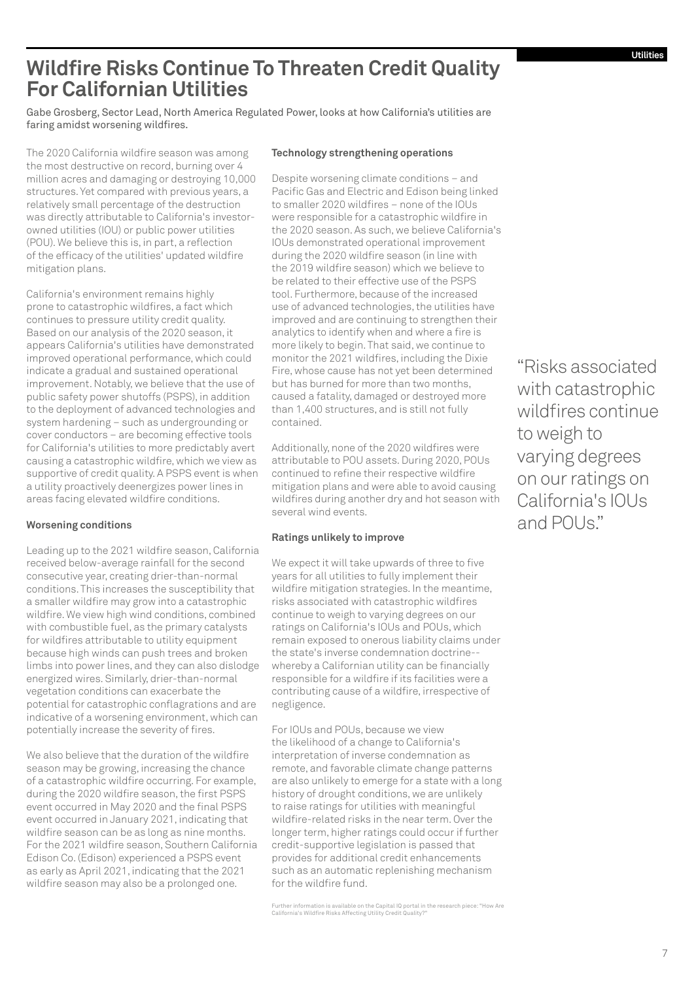# <span id="page-6-0"></span>**Wildfire Risks Continue To Threaten Credit Quality For Californian Utilities**

Gabe Grosberg, Sector Lead, North America Regulated Power, looks at how California's utilities are faring amidst worsening wildfires.

The 2020 California wildfire season was among the most destructive on record, burning over 4 million acres and damaging or destroying 10,000 structures. Yet compared with previous years, a relatively small percentage of the destruction was directly attributable to California's investorowned utilities (IOU) or public power utilities (POU). We believe this is, in part, a reflection of the efficacy of the utilities' updated wildfire mitigation plans.

California's environment remains highly prone to catastrophic wildfires, a fact which continues to pressure utility credit quality. Based on our analysis of the 2020 season, it appears California's utilities have demonstrated improved operational performance, which could indicate a gradual and sustained operational improvement. Notably, we believe that the use of public safety power shutoffs (PSPS), in addition to the deployment of advanced technologies and system hardening – such as undergrounding or cover conductors – are becoming effective tools for California's utilities to more predictably avert causing a catastrophic wildfire, which we view as supportive of credit quality. A PSPS event is when a utility proactively deenergizes power lines in areas facing elevated wildfire conditions.

### **Worsening conditions**

Leading up to the 2021 wildfire season, California received below-average rainfall for the second consecutive year, creating drier-than-normal conditions. This increases the susceptibility that a smaller wildfire may grow into a catastrophic wildfire. We view high wind conditions, combined with combustible fuel, as the primary catalysts for wildfires attributable to utility equipment because high winds can push trees and broken limbs into power lines, and they can also dislodge energized wires. Similarly, drier-than-normal vegetation conditions can exacerbate the potential for catastrophic conflagrations and are indicative of a worsening environment, which can potentially increase the severity of fires.

We also believe that the duration of the wildfire season may be growing, increasing the chance of a catastrophic wildfire occurring. For example, during the 2020 wildfire season, the first PSPS event occurred in May 2020 and the final PSPS event occurred in January 2021, indicating that wildfire season can be as long as nine months. For the 2021 wildfire season, Southern California Edison Co. (Edison) experienced a PSPS event as early as April 2021, indicating that the 2021 wildfire season may also be a prolonged one.

### **Technology strengthening operations**

Despite worsening climate conditions – and Pacific Gas and Electric and Edison being linked to smaller 2020 wildfires – none of the IOUs were responsible for a catastrophic wildfire in the 2020 season. As such, we believe California's IOUs demonstrated operational improvement during the 2020 wildfire season (in line with the 2019 wildfire season) which we believe to be related to their effective use of the PSPS tool. Furthermore, because of the increased use of advanced technologies, the utilities have improved and are continuing to strengthen their analytics to identify when and where a fire is more likely to begin. That said, we continue to monitor the 2021 wildfires, including the Dixie Fire, whose cause has not yet been determined but has burned for more than two months, caused a fatality, damaged or destroyed more than 1,400 structures, and is still not fully contained.

Additionally, none of the 2020 wildfires were attributable to POU assets. During 2020, POUs continued to refine their respective wildfire mitigation plans and were able to avoid causing wildfires during another dry and hot season with several wind events.

#### **Ratings unlikely to improve**

We expect it will take upwards of three to five years for all utilities to fully implement their wildfire mitigation strategies. In the meantime, risks associated with catastrophic wildfires continue to weigh to varying degrees on our ratings on California's IOUs and POUs, which remain exposed to onerous liability claims under the state's inverse condemnation doctrine- whereby a Californian utility can be financially responsible for a wildfire if its facilities were a contributing cause of a wildfire, irrespective of negligence.

For IOUs and POUs, because we view the likelihood of a change to California's interpretation of inverse condemnation as remote, and favorable climate change patterns are also unlikely to emerge for a state with a long history of drought conditions, we are unlikely to raise ratings for utilities with meaningful wildfire-related risks in the near term. Over the longer term, higher ratings could occur if further credit-supportive legislation is passed that provides for additional credit enhancements such as an automatic replenishing mechanism for the wildfire fund.

"Risks associated with catastrophic wildfires continue to weigh to varying degrees on our ratings on California's IOUs and POUs."

[Further information is available on the Capital IQ portal in the research piece: "How Are](https://www.spglobal.com/ratings/en/research/articles/210603-credit-faq-how-are-california-s-wildfire-risks-affecting-utility-credit-quality-11954953)  California's Wildfire Risks Affecting Utility Credit Quality?"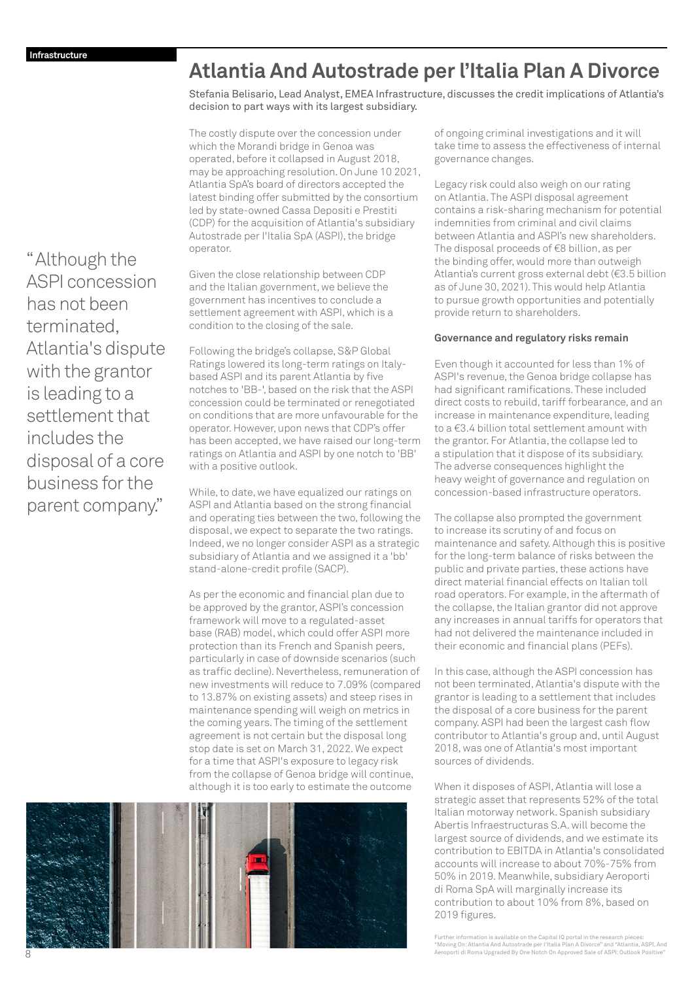# <span id="page-7-0"></span>**Atlantia And Autostrade per l'Italia Plan A Divorce**

Stefania Belisario, Lead Analyst, EMEA Infrastructure, discusses the credit implications of Atlantia's decision to part ways with its largest subsidiary.

The costly dispute over the concession under which the Morandi bridge in Genoa was operated, before it collapsed in August 2018, may be approaching resolution. On June 10 2021, Atlantia SpA's board of directors accepted the latest binding offer submitted by the consortium led by state-owned Cassa Depositi e Prestiti (CDP) for the acquisition of Atlantia's subsidiary Autostrade per I'Italia SpA (ASPI), the bridge operator.

Given the close relationship between CDP and the Italian government, we believe the government has incentives to conclude a settlement agreement with ASPI, which is a condition to the closing of the sale.

Following the bridge's collapse, S&P Global Ratings lowered its long-term ratings on Italybased ASPI and its parent Atlantia by five notches to 'BB-', based on the risk that the ASPI concession could be terminated or renegotiated on conditions that are more unfavourable for the operator. However, upon news that CDP's offer has been accepted, we have raised our long-term ratings on Atlantia and ASPI by one notch to 'BB' with a positive outlook.

While, to date, we have equalized our ratings on ASPI and Atlantia based on the strong financial and operating ties between the two, following the disposal, we expect to separate the two ratings. Indeed, we no longer consider ASPI as a strategic subsidiary of Atlantia and we assigned it a 'bb' stand-alone-credit profile (SACP).

As per the economic and financial plan due to be approved by the grantor, ASPI's concession framework will move to a regulated-asset base (RAB) model, which could offer ASPI more protection than its French and Spanish peers, particularly in case of downside scenarios (such as traffic decline). Nevertheless, remuneration of new investments will reduce to 7.09% (compared to 13.87% on existing assets) and steep rises in maintenance spending will weigh on metrics in the coming years. The timing of the settlement agreement is not certain but the disposal long stop date is set on March 31, 2022. We expect for a time that ASPI's exposure to legacy risk from the collapse of Genoa bridge will continue, although it is too early to estimate the outcome



of ongoing criminal investigations and it will take time to assess the effectiveness of internal governance changes.

Legacy risk could also weigh on our rating on Atlantia. The ASPI disposal agreement contains a risk-sharing mechanism for potential indemnities from criminal and civil claims between Atlantia and ASPI's new shareholders. The disposal proceeds of €8 billion, as per the binding offer, would more than outweigh Atlantia's current gross external debt (€3.5 billion as of June 30, 2021). This would help Atlantia to pursue growth opportunities and potentially provide return to shareholders.

### **Governance and regulatory risks remain**

Even though it accounted for less than 1% of ASPI's revenue, the Genoa bridge collapse has had significant ramifications. These included direct costs to rebuild, tariff forbearance, and an increase in maintenance expenditure, leading to a €3.4 billion total settlement amount with the grantor. For Atlantia, the collapse led to a stipulation that it dispose of its subsidiary. The adverse consequences highlight the heavy weight of governance and regulation on concession-based infrastructure operators.

The collapse also prompted the government to increase its scrutiny of and focus on maintenance and safety. Although this is positive for the long-term balance of risks between the public and private parties, these actions have direct material financial effects on Italian toll road operators. For example, in the aftermath of the collapse, the Italian grantor did not approve any increases in annual tariffs for operators that had not delivered the maintenance included in their economic and financial plans (PEFs).

In this case, although the ASPI concession has not been terminated, Atlantia's dispute with the grantor is leading to a settlement that includes the disposal of a core business for the parent company. ASPI had been the largest cash flow contributor to Atlantia's group and, until August 2018, was one of Atlantia's most important sources of dividends.

When it disposes of ASPI, Atlantia will lose a strategic asset that represents 52% of the total Italian motorway network. Spanish subsidiary Abertis Infraestructuras S.A. will become the largest source of dividends, and we estimate its contribution to EBITDA in Atlantia's consolidated accounts will increase to about 70%-75% from 50% in 2019. Meanwhile, subsidiary Aeroporti di Roma SpA will marginally increase its contribution to about 10% from 8%, based on 2019 figures.

Further information is available on the Capital IQ portal in the research pieces: ["Moving On: Atlantia And Autostrade per l'Italia Plan A Divorce" and "Atlantia, ASPI, And](https://www.spglobal.com/ratings/en/research/articles/210526-credit-faq-moving-on-atlantia-and-autostrade-per-l-italia-plan-a-divorce-11817149) Aeroporti di Roma Upgraded By One Notch On Approved Sale of ASPI; Outlook Positive"

"Although the ASPI concession has not been terminated, Atlantia's dispute with the grantor is leading to a settlement that includes the disposal of a core business for the parent company."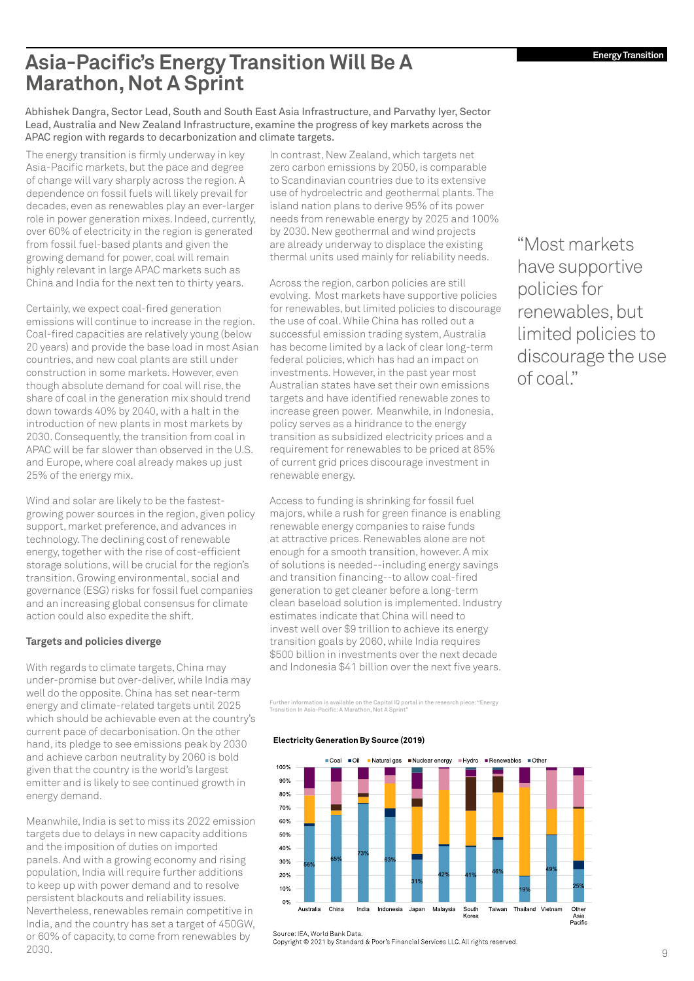# <span id="page-8-0"></span>**Asia-Pacific's Energy Transition Will Be A Marathon, Not A Sprint**

Abhishek Dangra, Sector Lead, South and South East Asia Infrastructure, and Parvathy Iyer, Sector Lead, Australia and New Zealand Infrastructure, examine the progress of key markets across the APAC region with regards to decarbonization and climate targets.

The energy transition is firmly underway in key Asia-Pacific markets, but the pace and degree of change will vary sharply across the region. A dependence on fossil fuels will likely prevail for decades, even as renewables play an ever-larger role in power generation mixes. Indeed, currently, over 60% of electricity in the region is generated from fossil fuel-based plants and given the growing demand for power, coal will remain highly relevant in large APAC markets such as China and India for the next ten to thirty years.

Certainly, we expect coal-fired generation emissions will continue to increase in the region. Coal-fired capacities are relatively young (below 20 years) and provide the base load in most Asian countries, and new coal plants are still under construction in some markets. However, even though absolute demand for coal will rise, the share of coal in the generation mix should trend down towards 40% by 2040, with a halt in the introduction of new plants in most markets by 2030. Consequently, the transition from coal in APAC will be far slower than observed in the U.S. and Europe, where coal already makes up just 25% of the energy mix.

Wind and solar are likely to be the fastestgrowing power sources in the region, given policy support, market preference, and advances in technology. The declining cost of renewable energy, together with the rise of cost-efficient storage solutions, will be crucial for the region's transition. Growing environmental, social and governance (ESG) risks for fossil fuel companies and an increasing global consensus for climate action could also expedite the shift.

### **Targets and policies diverge**

With regards to climate targets, China may under-promise but over-deliver, while India may well do the opposite. China has set near-term energy and climate-related targets until 2025 which should be achievable even at the country's current pace of decarbonisation. On the other hand, its pledge to see emissions peak by 2030 and achieve carbon neutrality by 2060 is bold given that the country is the world's largest emitter and is likely to see continued growth in energy demand.

Meanwhile, India is set to miss its 2022 emission targets due to delays in new capacity additions and the imposition of duties on imported panels. And with a growing economy and rising population, India will require further additions to keep up with power demand and to resolve persistent blackouts and reliability issues. Nevertheless, renewables remain competitive in India, and the country has set a target of 450GW, or 60% of capacity, to come from renewables by 2030.

In contrast, New Zealand, which targets net zero carbon emissions by 2050, is comparable to Scandinavian countries due to its extensive use of hydroelectric and geothermal plants. The island nation plans to derive 95% of its power needs from renewable energy by 2025 and 100% by 2030. New geothermal and wind projects are already underway to displace the existing thermal units used mainly for reliability needs.

Across the region, carbon policies are still evolving. Most markets have supportive policies for renewables, but limited policies to discourage the use of coal. While China has rolled out a successful emission trading system, Australia has become limited by a lack of clear long-term federal policies, which has had an impact on investments. However, in the past year most Australian states have set their own emissions targets and have identified renewable zones to increase green power. Meanwhile, in Indonesia, policy serves as a hindrance to the energy transition as subsidized electricity prices and a requirement for renewables to be priced at 85% of current grid prices discourage investment in renewable energy.

Access to funding is shrinking for fossil fuel majors, while a rush for green finance is enabling renewable energy companies to raise funds at attractive prices. Renewables alone are not enough for a smooth transition, however. A mix of solutions is needed--including energy savings and transition financing--to allow coal-fired generation to get cleaner before a long-term clean baseload solution is implemented. Industry estimates indicate that China will need to invest well over \$9 trillion to achieve its energy transition goals by 2060, while India requires \$500 billion in investments over the next decade and Indonesia \$41 billion over the next five years.

[Further information is available on the Capital IQ portal in the research piece: "Energy](https://www.spglobal.com/ratings/en/research/pdf-articles/210420-energy-transition-in-asia-pacific-a-marathon-not-a-sprint-100050362)  Transition In Asia-Pacific: A Marathon, Not A Sprint"

Electricity Generation By Source (2019)



"Most markets have supportive policies for renewables, but limited policies to discourage the use of coal."

Converter, world Barm Battle<br>Copyright © 2021 by Standard & Poor's Financial Services LLC. All rights reserved

Source: IEA World Bank Data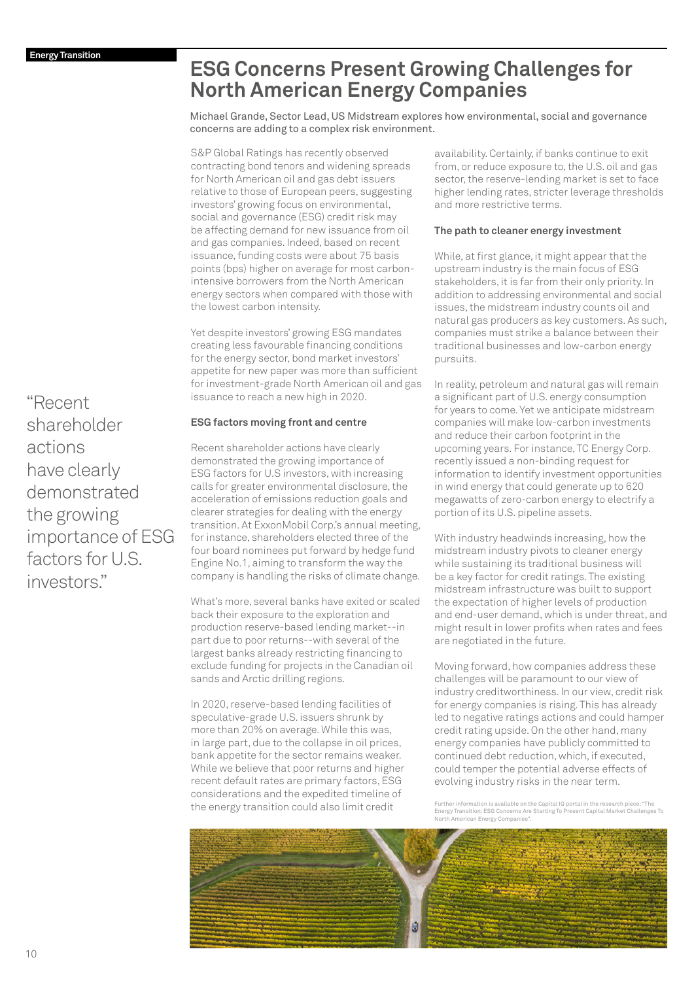# <span id="page-9-0"></span>**ESG Concerns Present Growing Challenges for North American Energy Companies**

Michael Grande, Sector Lead, US Midstream explores how environmental, social and governance concerns are adding to a complex risk environment.

S&P Global Ratings has recently observed contracting bond tenors and widening spreads for North American oil and gas debt issuers relative to those of European peers, suggesting investors' growing focus on environmental, social and governance (ESG) credit risk may be affecting demand for new issuance from oil and gas companies. Indeed, based on recent issuance, funding costs were about 75 basis points (bps) higher on average for most carbonintensive borrowers from the North American energy sectors when compared with those with the lowest carbon intensity.

Yet despite investors' growing ESG mandates creating less favourable financing conditions for the energy sector, bond market investors' appetite for new paper was more than sufficient for investment-grade North American oil and gas issuance to reach a new high in 2020.

### **ESG factors moving front and centre**

Recent shareholder actions have clearly demonstrated the growing importance of ESG factors for U.S investors, with increasing calls for greater environmental disclosure, the acceleration of emissions reduction goals and clearer strategies for dealing with the energy transition. At ExxonMobil Corp.'s annual meeting, for instance, shareholders elected three of the four board nominees put forward by hedge fund Engine No.1, aiming to transform the way the company is handling the risks of climate change.

What's more, several banks have exited or scaled back their exposure to the exploration and production reserve-based lending market--in part due to poor returns--with several of the largest banks already restricting financing to exclude funding for projects in the Canadian oil sands and Arctic drilling regions.

In 2020, reserve-based lending facilities of speculative-grade U.S. issuers shrunk by more than 20% on average. While this was, in large part, due to the collapse in oil prices, bank appetite for the sector remains weaker. While we believe that poor returns and higher recent default rates are primary factors, ESG considerations and the expedited timeline of the energy transition could also limit credit

availability. Certainly, if banks continue to exit from, or reduce exposure to, the U.S. oil and gas sector, the reserve-lending market is set to face higher lending rates, stricter leverage thresholds and more restrictive terms.

### **The path to cleaner energy investment**

While, at first glance, it might appear that the upstream industry is the main focus of ESG stakeholders, it is far from their only priority. In addition to addressing environmental and social issues, the midstream industry counts oil and natural gas producers as key customers. As such, companies must strike a balance between their traditional businesses and low-carbon energy pursuits.

In reality, petroleum and natural gas will remain a significant part of U.S. energy consumption for years to come. Yet we anticipate midstream companies will make low-carbon investments and reduce their carbon footprint in the upcoming years. For instance, TC Energy Corp. recently issued a non-binding request for information to identify investment opportunities in wind energy that could generate up to 620 megawatts of zero-carbon energy to electrify a portion of its U.S. pipeline assets.

With industry headwinds increasing, how the midstream industry pivots to cleaner energy while sustaining its traditional business will be a key factor for credit ratings. The existing midstream infrastructure was built to support the expectation of higher levels of production and end-user demand, which is under threat, and might result in lower profits when rates and fees are negotiated in the future.

Moving forward, how companies address these challenges will be paramount to our view of industry creditworthiness. In our view, credit risk for energy companies is rising. This has already led to negative ratings actions and could hamper credit rating upside. On the other hand, many energy companies have publicly committed to continued debt reduction, which, if executed, could temper the potential adverse effects of evolving industry risks in the near term.

Further information is available on the Capital IQ portal in the research piece: "The [Energy Transition: ESG Concerns Are Starting To Present Capital Market Challenges To](https://www.spglobal.com/ratings/en/research/articles/210614-the-energy-transition-esg-concerns-are-starting-to-present-capital-market-challenges-to-north-american-energ-11984322)  North American Energy Companies".



"Recent shareholder actions have clearly demonstrated the growing importance of ESG factors for U.S. investors."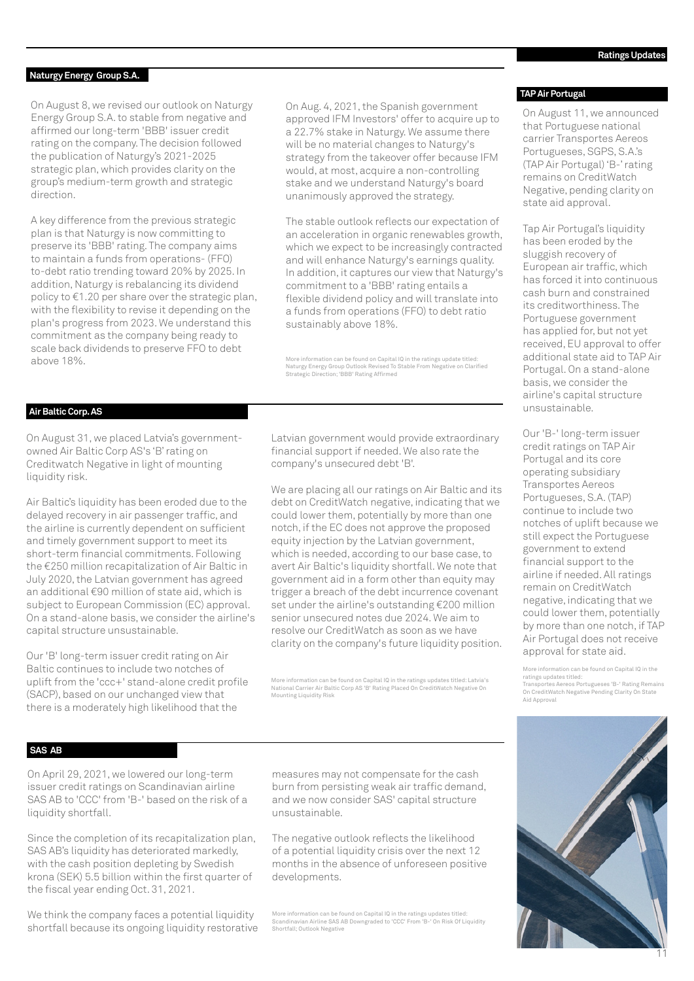### <span id="page-10-0"></span>**Naturgy Energy Group S.A.**

On August 8, we revised our outlook on Naturgy Energy Group S.A. to stable from negative and affirmed our long-term 'BBB' issuer credit rating on the company. The decision followed the publication of Naturgy's 2021-2025 strategic plan, which provides clarity on the group's medium-term growth and strategic direction.

A key difference from the previous strategic plan is that Naturgy is now committing to preserve its 'BBB' rating. The company aims to maintain a funds from operations- (FFO) to-debt ratio trending toward 20% by 2025. In addition, Naturgy is rebalancing its dividend policy to €1.20 per share over the strategic plan, with the flexibility to revise it depending on the plan's progress from 2023. We understand this commitment as the company being ready to scale back dividends to preserve FFO to debt above 18%.

On Aug. 4, 2021, the Spanish government approved IFM Investors' offer to acquire up to a 22.7% stake in Naturgy. We assume there will be no material changes to Naturgy's strategy from the takeover offer because IFM would, at most, acquire a non-controlling stake and we understand Naturgy's board unanimously approved the strategy.

The stable outlook reflects our expectation of an acceleration in organic renewables growth, which we expect to be increasingly contracted and will enhance Naturgy's earnings quality. In addition, it captures our view that Naturgy's commitment to a 'BBB' rating entails a flexible dividend policy and will translate into a funds from operations (FFO) to debt ratio sustainably above 18%.

More information can be found on Capital IQ in the ratings update titled: [Naturgy Energy Group Outlook Revised To Stable From Negative on Clarified](https://www.capitaliq.com/CIQDotNet/CreditResearch/SPResearch.aspx?DocumentId=49019036&From=SNP_CRS)  Strategic Direction; 'BBB' Rating Affirmed

### **Air Baltic Corp. AS**

On August 31, we placed Latvia's governmentowned Air Baltic Corp AS's 'B' rating on Creditwatch Negative in light of mounting liquidity risk.

Air Baltic's liquidity has been eroded due to the delayed recovery in air passenger traffic, and the airline is currently dependent on sufficient and timely government support to meet its short-term financial commitments. Following the €250 million recapitalization of Air Baltic in July 2020, the Latvian government has agreed an additional €90 million of state aid, which is subject to European Commission (EC) approval. On a stand-alone basis, we consider the airline's capital structure unsustainable.

Our 'B' long-term issuer credit rating on Air Baltic continues to include two notches of uplift from the 'ccc+' stand-alone credit profile (SACP), based on our unchanged view that there is a moderately high likelihood that the

Latvian government would provide extraordinary financial support if needed. We also rate the company's unsecured debt 'B'.

We are placing all our ratings on Air Baltic and its debt on CreditWatch negative, indicating that we could lower them, potentially by more than one notch, if the EC does not approve the proposed equity injection by the Latvian government, which is needed, according to our base case, to avert Air Baltic's liquidity shortfall. We note that government aid in a form other than equity may trigger a breach of the debt incurrence covenant set under the airline's outstanding €200 million senior unsecured notes due 2024. We aim to resolve our CreditWatch as soon as we have clarity on the company's future liquidity position.

[More information can be found on Capital IQ in the ratings updates titled: Latvia's](https://www.capitaliq.com/CIQDotNet/CreditResearch/SPResearch.aspx?DocumentId=49197655&From=SNP_CRS)  National Carrier Air Baltic Corp AS 'B' Rating Placed On CreditWatch Negative On Mounting Liquidity Risk

#### **TAP Air Portugal**

On August 11, we announced that Portuguese national carrier Transportes Aereos Portugueses, SGPS, S.A.'s (TAP Air Portugal) 'B-' rating remains on CreditWatch Negative, pending clarity on state aid approval.

Tap Air Portugal's liquidity has been eroded by the sluggish recovery of European air traffic, which has forced it into continuous cash burn and constrained its creditworthiness. The Portuguese government has applied for, but not yet received, EU approval to offer additional state aid to TAP Air Portugal. On a stand-alone basis, we consider the airline's capital structure unsustainable.

Our 'B-' long-term issuer credit ratings on TAP Air Portugal and its core operating subsidiary Transportes Aereos Portugueses, S.A. (TAP) continue to include two notches of uplift because we still expect the Portuguese government to extend financial support to the airline if needed. All ratings remain on CreditWatch negative, indicating that we could lower them, potentially by more than one notch, if TAP Air Portugal does not receive approval for state aid.

More information can be found on Capital IQ in the ratings updates titled: [Transportes Aereos Portugueses 'B-' Rating Remains](https://www.capitaliq.com/CIQDotNet/CreditResearch/SPResearch.aspx?DocumentId=49039309&From=SNP_CRS) On CreditWatch Negative Pending Clarity On State Aid Approval

### **SAS AB**

On April 29, 2021, we lowered our long-term issuer credit ratings on Scandinavian airline SAS AB to 'CCC' from 'B-' based on the risk of a liquidity shortfall.

Since the completion of its recapitalization plan, SAS AB's liquidity has deteriorated markedly, with the cash position depleting by Swedish krona (SEK) 5.5 billion within the first quarter of the fiscal year ending Oct. 31, 2021.

We think the company faces a potential liquidity shortfall because its ongoing liquidity restorative

measures may not compensate for the cash burn from persisting weak air traffic demand, and we now consider SAS' capital structure unsustainable.

The negative outlook reflects the likelihood of a potential liquidity crisis over the next 12 months in the absence of unforeseen positive developments.

More information can be found on Capital IQ in the ratings updates titled: [Scandinavian Airline SAS AB Downgraded to 'CCC' From 'B-' On Risk Of Liquidity](https://www.capitaliq.com/CIQDotNet/CreditResearch/SPResearch.aspx?DocumentId=48030510&From=SNP_CRS)  Shortfall; Outlook Negative

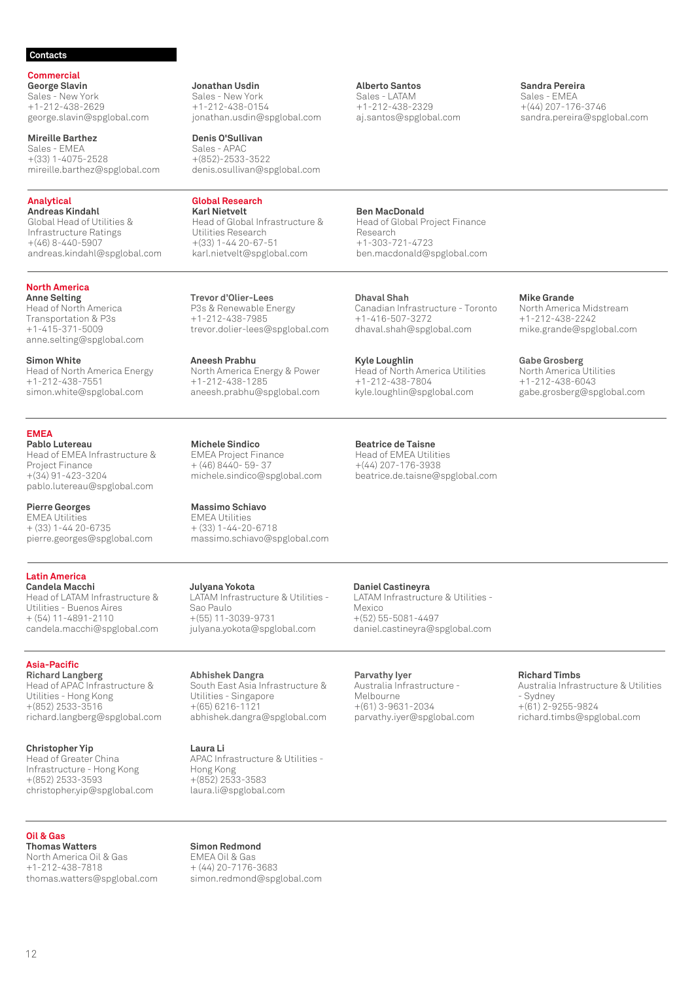### <span id="page-11-0"></span>**Contacts**

**Commercial George Slavin**

Sales - New York +1-212-438-2629 george.slavin@spglobal.com

**Mireille Barthez** Sales - EMEA +(33) 1-4075-2528 mireille.barthez@spglobal.com

### **Analytical**

**Andreas Kindahl** Global Head of Utilities & Infrastructure Ratings +(46) 8-440-5907 andreas.kindahl@spglobal.com

#### **North America Anne Selting**

Head of North America Transportation & P3s +1-415-371-5009 anne.selting@spglobal.com

**Simon White** Head of North America Energy +1-212-438-7551 simon.white@spglobal.com

**EMEA Pablo Lutereau**

Head of EMEA Infrastructure & Project Finance +(34) 91-423-3204 pablo.lutereau@spglobal.com

**Pierre Georges** EMEA Utilities + (33) 1-44 20-6735 pierre.georges@spglobal.com

**Latin America Candela Macchi** Head of LATAM Infrastructure & Utilities - Buenos Aires + (54) 11-4891-2110 candela.macchi@spglobal.com

**Asia-Pacific Richard Langberg** Head of APAC Infrastructure & Utilities - Hong Kong +(852) 2533-3516 richard.langberg@spglobal.com

**Christopher Yip** Head of Greater China Infrastructure - Hong Kong +(852) 2533-3593 christopher.yip@spglobal.com

### **Oil & Gas**

**Thomas Watters** North America Oil & Gas +1-212-438-7818 thomas.watters@spglobal.com **Jonathan Usdin** Sales - New York +1-212-438-0154 jonathan.usdin@spglobal.com

**Denis O'Sullivan** Sales - APAC +(852)-2533-3522 denis.osullivan@spglobal.com

**Global Research Karl Nietvelt** Head of Global Infrastructure & Utilities Research +(33) 1-44 20-67-51 karl.nietvelt@spglobal.com

**Trevor d'Olier-Lees** P3s & Renewable Energy +1-212-438-7985 trevor.dolier-lees@spglobal.com

**Aneesh Prabhu** North America Energy & Power +1-212-438-1285 aneesh.prabhu@spglobal.com

**Michele Sindico** EMEA Project Finance + (46) 8440- 59- 37 michele.sindico@spglobal.com

**Massimo Schiavo** EMEA Utilities + (33) 1-44-20-6718 massimo.schiavo@spglobal.com

**Julyana Yokota** LATAM Infrastructure & Utilities - Sao Paulo +(55) 11-3039-9731 julyana.yokota@spglobal.com

**Abhishek Dangra** South East Asia Infrastructure & Utilities - Singapore +(65) 6216-1121 abhishek.dangra@spglobal.com

**Laura Li**

APAC Infrastructure & Utilities - Hong Kong +(852) 2533-3583 laura.li@spglobal.com

**Alberto Santos** Sales - LATAM +1-212-438-2329 aj.santos@spglobal.com

### **Sandra Pereira** Sales - EMEA

+(44) 207-176-3746 sandra.pereira@spglobal.com

**Ben MacDonald**

Head of Global Project Finance Research +1-303-721-4723 ben.macdonald@spglobal.com

**Dhaval Shah** Canadian Infrastructure - Toronto +1-416-507-3272 dhaval.shah@spglobal.com

**Kyle Loughlin** Head of North America Utilities +1-212-438-7804 kyle.loughlin@spglobal.com

### **Beatrice de Taisne**

Head of EMEA Utilities +(44) 207-176-3938 beatrice.de.taisne@spglobal.com **Mike Grande** North America Midstream +1-212-438-2242 mike.grande@spglobal.com

**Gabe Grosberg** North America Utilities +1-212-438-6043 gabe.grosberg@spglobal.com

**Daniel Castineyra** LATAM Infrastructure & Utilities - Mexico +(52) 55-5081-4497 daniel.castineyra@spglobal.com

**Parvathy Iyer** Australia Infrastructure - Melbourne +(61) 3-9631-2034 parvathy.iyer@spglobal.com **Richard Timbs**

Australia Infrastructure & Utilities - Sydney +(61) 2-9255-9824 richard.timbs@spglobal.com

**Simon Redmond** EMEA Oil & Gas + (44) 20-7176-3683 simon.redmond@spglobal.com